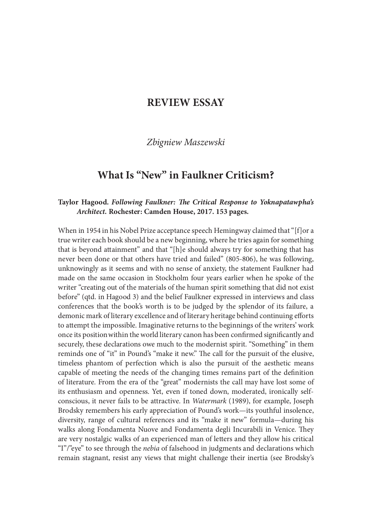## REVIEW ESSAY

## Zbigniew Maszewski

# What Is "New" in Faulkner Criticism?

### Taylor Hagood. Following Faulkner: The Critical Response to Yoknapatawpha's Architect. Rochester: Camden House, 2017. 153 pages.

When in 1954 in his Nobel Prize acceptance speech Hemingway claimed that "[f]or a true writer each book should be a new beginning, where he tries again for something that is beyond attainment" and that "[h]e should always try for something that has never been done or that others have tried and failed" (805-806), he was following, unknowingly as it seems and with no sense of anxiety, the statement Faulkner had made on the same occasion in Stockholm four years earlier when he spoke of the writer "creating out of the materials of the human spirit something that did not exist before" (qtd. in Hagood 3) and the belief Faulkner expressed in interviews and class conferences that the book's worth is to be judged by the splendor of its failure, a demonic mark of literary excellence and of literary heritage behind continuing efforts to attempt the impossible. Imaginative returns to the beginnings of the writers' work once its position within the world literary canon has been confirmed significantly and securely, these declarations owe much to the modernist spirit. "Something" in them reminds one of "it" in Pound's "make it new." The call for the pursuit of the elusive, timeless phantom of perfection which is also the pursuit of the aesthetic means capable of meeting the needs of the changing times remains part of the definition of literature. From the era of the "great" modernists the call may have lost some of its enthusiasm and openness. Yet, even if toned down, moderated, ironically selfconscious, it never fails to be attractive. In Watermark (1989), for example, Joseph Brodsky remembers his early appreciation of Pound's work—its youthful insolence, diversity, range of cultural references and its "make it new" formula—during his walks along Fondamenta Nuove and Fondamenta degli Incurabili in Venice. They are very nostalgic walks of an experienced man of letters and they allow his critical "I"/"eye" to see through the *nebia* of falsehood in judgments and declarations which remain stagnant, resist any views that might challenge their inertia (see Brodsky's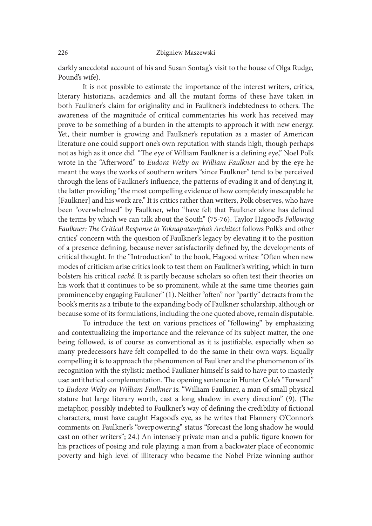#### 226 Zbigniew Maszewski

darkly anecdotal account of his and Susan Sontag's visit to the house of Olga Rudge, Pound's wife).

It is not possible to estimate the importance of the interest writers, critics, literary historians, academics and all the mutant forms of these have taken in both Faulkner's claim for originality and in Faulkner's indebtedness to others. The awareness of the magnitude of critical commentaries his work has received may prove to be something of a burden in the attempts to approach it with new energy. Yet, their number is growing and Faulkner's reputation as a master of American literature one could support one's own reputation with stands high, though perhaps not as high as it once did. "The eye of William Faulkner is a defining eye," Noel Polk wrote in the "Aterword" to Eudora Welty on William Faulkner and by the eye he meant the ways the works of southern writers "since Faulkner" tend to be perceived through the lens of Faulkner's in{uence, the patterns of evading it and of denying it, the latter providing "the most compelling evidence of how completely inescapable he [Faulkner] and his work are." It is critics rather than writers, Polk observes, who have been "overwhelmed" by Faulkner, who "have felt that Faulkner alone has defined the terms by which we can talk about the South" (75-76). Taylor Hagood's Following Faulkner: The Critical Response to Yoknapatawpha's Architect follows Polk's and other critics' concern with the question of Faulkner's legacy by elevating it to the position of a presence defining, because never satisfactorily defined by, the developments of critical thought. In the "Introduction" to the book, Hagood writes: "Oten when new modes of criticism arise critics look to test them on Faulkner's writing, which in turn bolsters his critical caché. It is partly because scholars so oten test their theories on his work that it continues to be so prominent, while at the same time theories gain prominence by engaging Faulkner" (1). Neither "oten" nor "partly" detracts from the book's merits as a tribute to the expanding body of Faulkner scholarship, although or because some of its formulations, including the one quoted above, remain disputable.

To introduce the text on various practices of "following" by emphasizing and contextualizing the importance and the relevance of its subject matter, the one being followed, is of course as conventional as it is justifiable, especially when so many predecessors have felt compelled to do the same in their own ways. Equally compelling it is to approach the phenomenon of Faulkner and the phenomenon of its recognition with the stylistic method Faulkner himself is said to have put to masterly use: antithetical complementation. The opening sentence in Hunter Cole's "Forward" to Eudora Welty on William Faulkner is: "William Faulkner, a man of small physical stature but large literary worth, cast a long shadow in every direction" (9). (The metaphor, possibly indebted to Faulkner's way of defining the credibility of fictional characters, must have caught Hagood's eye, as he writes that Flannery O'Connor's comments on Faulkner's "overpowering" status "forecast the long shadow he would cast on other writers"; 24.) An intensely private man and a public figure known for his practices of posing and role playing; a man from a backwater place of economic poverty and high level of illiteracy who became the Nobel Prize winning author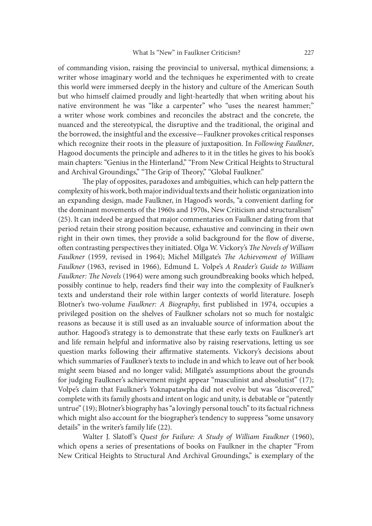of commanding vision, raising the provincial to universal, mythical dimensions; a writer whose imaginary world and the techniques he experimented with to create this world were immersed deeply in the history and culture of the American South but who himself claimed proudly and light-heartedly that when writing about his native environment he was "like a carpenter" who "uses the nearest hammer;" a writer whose work combines and reconciles the abstract and the concrete, the nuanced and the stereotypical, the disruptive and the traditional, the original and the borrowed, the insightful and the excessive—Faulkner provokes critical responses which recognize their roots in the pleasure of juxtaposition. In Following Faulkner, Hagood documents the principle and adheres to it in the titles he gives to his book's main chapters: "Genius in the Hinterland," "From New Critical Heights to Structural and Archival Groundings," "The Grip of Theory," "Global Faulkner."

The play of opposites, paradoxes and ambiguities, which can help pattern the complexity of his work, both major individual texts and their holistic organization into an expanding design, made Faulkner, in Hagood's words, "a convenient darling for the dominant movements of the 1960s and 1970s, New Criticism and structuralism" (25). It can indeed be argued that major commentaries on Faulkner dating from that period retain their strong position because, exhaustive and convincing in their own right in their own times, they provide a solid background for the flow of diverse, often contrasting perspectives they initiated. Olga W. Vickory's The Novels of William Faulkner (1959, revised in 1964); Michel Millgate's The Achievement of William Faulkner (1963, revised in 1966), Edmund L. Volpe's A Reader's Guide to William Faulkner: The Novels (1964) were among such groundbreaking books which helped, possibly continue to help, readers find their way into the complexity of Faulkner's texts and understand their role within larger contexts of world literature. Joseph Blotner's two-volume Faulkner: A Biography, first published in 1974, occupies a privileged position on the shelves of Faulkner scholars not so much for nostalgic reasons as because it is still used as an invaluable source of information about the author. Hagood's strategy is to demonstrate that these early texts on Faulkner's art and life remain helpful and informative also by raising reservations, letting us see question marks following their affirmative statements. Vickory's decisions about which summaries of Faulkner's texts to include in and which to leave out of her book might seem biased and no longer valid; Millgate's assumptions about the grounds for judging Faulkner's achievement might appear "masculinist and absolutist" (17); Volpe's claim that Faulkner's Yoknapatawpha did not evolve but was "discovered," complete with its family ghosts and intent on logic and unity, is debatable or "patently untrue" (19); Blotner's biography has "a lovingly personal touch" to its factual richness which might also account for the biographer's tendency to suppress "some unsavory details" in the writer's family life (22).

Walter J. Slatoff's Quest for Failure: A Study of William Faulkner (1960), which opens a series of presentations of books on Faulkner in the chapter "From New Critical Heights to Structural And Archival Groundings," is exemplary of the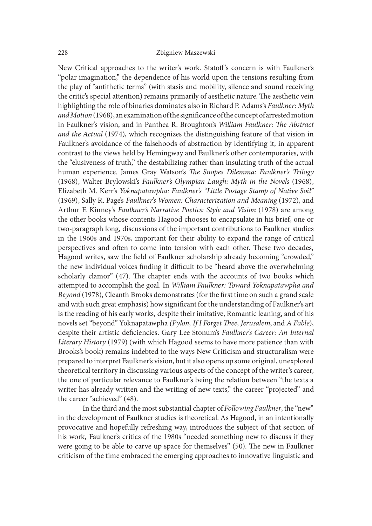#### 228 Zbigniew Maszewski

New Critical approaches to the writer's work. Statoff's concern is with Faulkner's "polar imagination," the dependence of his world upon the tensions resulting from the play of "antithetic terms" (with stasis and mobility, silence and sound receiving the critic's special attention) remains primarily of aesthetic nature. The aesthetic vein highlighting the role of binaries dominates also in Richard P. Adams's Faulkner: Myth and Motion (1968), an examination of the significance of the concept of arrested motion in Faulkner's vision, and in Panthea R. Broughton's William Faulkner: The Abstract and the Actual (1974), which recognizes the distinguishing feature of that vision in Faulkner's avoidance of the falsehoods of abstraction by identifying it, in apparent contrast to the views held by Hemingway and Faulkner's other contemporaries, with the "elusiveness of truth," the destabilizing rather than insulating truth of the actual human experience. James Gray Watson's The Snopes Dilemma: Faulkner's Trilogy (1968), Walter Brylowski's Faulkner's Olympian Laugh: Myth in the Novels (1968), Elizabeth M. Kerr's Yoknapatawpha: Faulkner's "Little Postage Stamp of Native Soil" (1969), Sally R. Page's Faulkner's Women: Characterization and Meaning (1972), and Arthur F. Kinney's Faulkner's Narrative Poetics: Style and Vision (1978) are among the other books whose contents Hagood chooses to encapsulate in his brief, one or two-paragraph long, discussions of the important contributions to Faulkner studies in the 1960s and 1970s, important for their ability to expand the range of critical perspectives and often to come into tension with each other. These two decades, Hagood writes, saw the field of Faulkner scholarship already becoming "crowded," the new individual voices finding it difficult to be "heard above the overwhelming scholarly clamor" (47). The chapter ends with the accounts of two books which attempted to accomplish the goal. In William Faulkner: Toward Yoknapatawpha and Beyond (1978), Cleanth Brooks demonstrates (for the first time on such a grand scale and with such great emphasis) how significant for the understanding of Faulkner's art is the reading of his early works, despite their imitative, Romantic leaning, and of his novels set "beyond" Yoknapatawpha (Pylon, If I Forget Thee, Jerusalem, and A Fable), despite their artistic deficiencies. Gary Lee Stonum's Faulkner's Career: An Internal Literary History (1979) (with which Hagood seems to have more patience than with Brooks's book) remains indebted to the ways New Criticism and structuralism were prepared to interpret Faulkner's vision, but it also opens up some original, unexplored theoretical territory in discussing various aspects of the concept of the writer's career, the one of particular relevance to Faulkner's being the relation between "the texts a writer has already written and the writing of new texts," the career "projected" and the career "achieved" (48).

In the third and the most substantial chapter of Following Faulkner, the "new" in the development of Faulkner studies is theoretical. As Hagood, in an intentionally provocative and hopefully refreshing way, introduces the subject of that section of his work, Faulkner's critics of the 1980s "needed something new to discuss if they were going to be able to carve up space for themselves" (50). The new in Faulkner criticism of the time embraced the emerging approaches to innovative linguistic and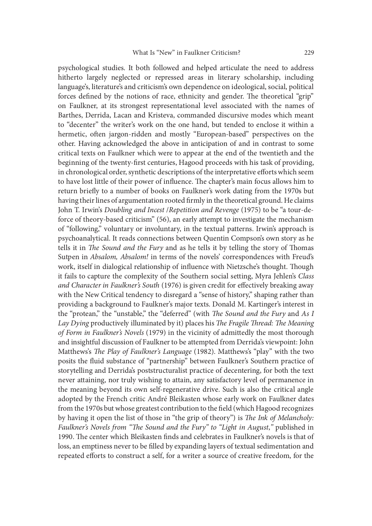psychological studies. It both followed and helped articulate the need to address hitherto largely neglected or repressed areas in literary scholarship, including language's, literature's and criticism's own dependence on ideological, social, political forces defined by the notions of race, ethnicity and gender. The theoretical "grip" on Faulkner, at its strongest representational level associated with the names of Barthes, Derrida, Lacan and Kristeva, commanded discursive modes which meant to "decenter" the writer's work on the one hand, but tended to enclose it within a hermetic, often jargon-ridden and mostly "European-based" perspectives on the other. Having acknowledged the above in anticipation of and in contrast to some critical texts on Faulkner which were to appear at the end of the twentieth and the beginning of the twenty-first centuries, Hagood proceeds with his task of providing, in chronological order, synthetic descriptions of the interpretative efforts which seem to have lost little of their power of influence. The chapter's main focus allows him to return briefly to a number of books on Faulkner's work dating from the 1970s but having their lines of argumentation rooted firmly in the theoretical ground. He claims John T. Irwin's Doubling and Incest /Repetition and Revenge (1975) to be "a tour-deforce of theory-based criticism" (56), an early attempt to investigate the mechanism of "following," voluntary or involuntary, in the textual patterns. Irwin's approach is psychoanalytical. It reads connections between Quentin Compson's own story as he tells it in The Sound and the Fury and as he tells it by telling the story of Thomas Sutpen in Absalom, Absalom! in terms of the novels' correspondences with Freud's work, itself in dialogical relationship of influence with Nietzsche's thought. Though it fails to capture the complexity of the Southern social setting, Myra Jehlen's Class and Character in Faulkner's South (1976) is given credit for effectively breaking away with the New Critical tendency to disregard a "sense of history," shaping rather than providing a background to Faulkner's major texts. Donald M. Kartinger's interest in the "protean," the "unstable," the "deferred" (with The Sound and the Fury and As I Lay Dying productively illuminated by it) places his The Fragile Thread: The Meaning of Form in Faulkner's Novels (1979) in the vicinity of admittedly the most thorough and insightful discussion of Faulkner to be attempted from Derrida's viewpoint: John Matthews's The Play of Faulkner's Language (1982). Matthews's "play" with the two posits the {uid substance of "partnership" between Faulkner's Southern practice of storytelling and Derrida's poststructuralist practice of decentering, for both the text never attaining, nor truly wishing to attain, any satisfactory level of permanence in the meaning beyond its own self-regenerative drive. Such is also the critical angle adopted by the French critic André Bleikasten whose early work on Faulkner dates from the 1970s but whose greatest contribution to the field (which Hagood recognizes by having it open the list of those in "the grip of theory") is The Ink of Melancholy: Faulkner's Novels from "The Sound and the Fury" to "Light in August," published in 1990. The center which Bleikasten finds and celebrates in Faulkner's novels is that of loss, an emptiness never to be filled by expanding layers of textual sedimentation and repeated efforts to construct a self, for a writer a source of creative freedom, for the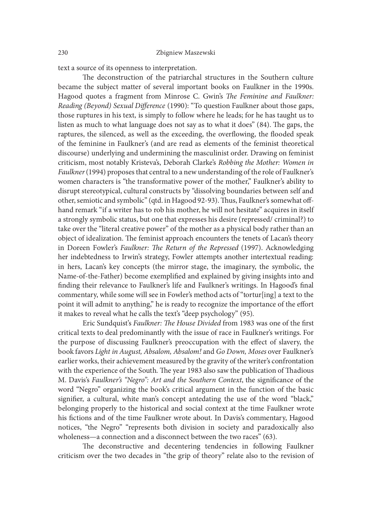text a source of its openness to interpretation.

The deconstruction of the patriarchal structures in the Southern culture became the subject matter of several important books on Faulkner in the 1990s. Hagood quotes a fragment from Minrose C. Gwin's The Feminine and Faulkner: Reading (Beyond) Sexual Difference (1990): "To question Faulkner about those gaps, those ruptures in his text, is simply to follow where he leads; for he has taught us to listen as much to what language does not say as to what it does" (84). The gaps, the raptures, the silenced, as well as the exceeding, the overflowing, the flooded speak of the feminine in Faulkner's (and are read as elements of the feminist theoretical discourse) underlying and undermining the masculinist order. Drawing on feminist criticism, most notably Kristeva's, Deborah Clarke's Robbing the Mother: Women in Faulkner (1994) proposes that central to a new understanding of the role of Faulkner's women characters is "the transformative power of the mother," Faulkner's ability to disrupt stereotypical, cultural constructs by "dissolving boundaries between self and other, semiotic and symbolic" (qtd. in Hagood 92-93). Thus, Faulkner's somewhat offhand remark "if a writer has to rob his mother, he will not hesitate" acquires in itself a strongly symbolic status, but one that expresses his desire (repressed/ criminal?) to take over the "literal creative power" of the mother as a physical body rather than an object of idealization. The feminist approach encounters the tenets of Lacan's theory in Doreen Fowler's Faulkner: The Return of the Repressed (1997). Acknowledging her indebtedness to Irwin's strategy, Fowler attempts another intertextual reading: in hers, Lacan's key concepts (the mirror stage, the imaginary, the symbolic, the Name-of-the-Father) become exemplified and explained by giving insights into and finding their relevance to Faulkner's life and Faulkner's writings. In Hagood's final commentary, while some will see in Fowler's method acts of "tortur[ing] a text to the point it will admit to anything," he is ready to recognize the importance of the effort it makes to reveal what he calls the text's "deep psychology" (95).

Eric Sundquist's Faulkner: The House Divided from 1983 was one of the first critical texts to deal predominantly with the issue of race in Faulkner's writings. For the purpose of discussing Faulkner's preoccupation with the effect of slavery, the book favors Light in August, Absalom, Absalom! and Go Down, Moses over Faulkner's earlier works, their achievement measured by the gravity of the writer's confrontation with the experience of the South. The year 1983 also saw the publication of Thadious M. Davis's Faulkner's "Negro": Art and the Southern Context, the significance of the word "Negro" organizing the book's critical argument in the function of the basic signifier, a cultural, white man's concept antedating the use of the word "black," belonging properly to the historical and social context at the time Faulkner wrote his fictions and of the time Faulkner wrote about. In Davis's commentary, Hagood notices, "the Negro" "represents both division in society and paradoxically also wholeness—a connection and a disconnect between the two races" (63).

The deconstructive and decentering tendencies in following Faulkner criticism over the two decades in "the grip of theory" relate also to the revision of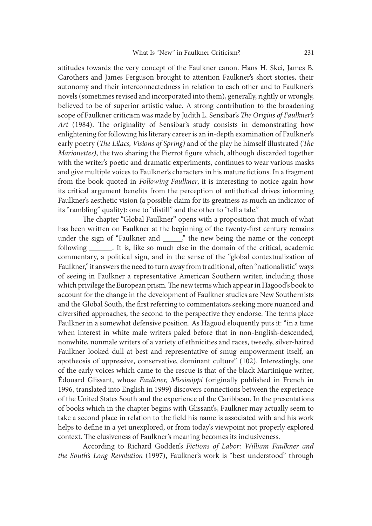attitudes towards the very concept of the Faulkner canon. Hans H. Skei, James B. Carothers and James Ferguson brought to attention Faulkner's short stories, their autonomy and their interconnectedness in relation to each other and to Faulkner's novels (sometimes revised and incorporated into them), generally, rightly or wrongly, believed to be of superior artistic value. A strong contribution to the broadening scope of Faulkner criticism was made by Judith L. Sensibar's The Origins of Faulkner's Art (1984). The originality of Sensibar's study consists in demonstrating how enlightening for following his literary career is an in-depth examination of Faulkner's early poetry (*The Lilacs, Visions of Spring*) and of the play he himself illustrated (*The* Marionettes), the two sharing the Pierrot figure which, although discarded together with the writer's poetic and dramatic experiments, continues to wear various masks and give multiple voices to Faulkner's characters in his mature fictions. In a fragment from the book quoted in Following Faulkner, it is interesting to notice again how its critical argument benefits from the perception of antithetical drives informing Faulkner's aesthetic vision (a possible claim for its greatness as much an indicator of its "rambling" quality): one to "distill" and the other to "tell a tale."

The chapter "Global Faulkner" opens with a proposition that much of what has been written on Faulkner at the beginning of the twenty-first century remains under the sign of "Faulkner and \_\_\_\_\_," the new being the name or the concept following \_\_\_\_\_\_. It is, like so much else in the domain of the critical, academic commentary, a political sign, and in the sense of the "global contextualization of Faulkner," it answers the need to turn away from traditional, often "nationalistic" ways of seeing in Faulkner a representative American Southern writer, including those which privilege the European prism. The new terms which appear in Hagood's book to account for the change in the development of Faulkner studies are New Southernists and the Global South, the first referring to commentators seeking more nuanced and diversified approaches, the second to the perspective they endorse. The terms place Faulkner in a somewhat defensive position. As Hagood eloquently puts it: "in a time when interest in white male writers paled before that in non-English-descended, nonwhite, nonmale writers of a variety of ethnicities and races, tweedy, silver-haired Faulkner looked dull at best and representative of smug empowerment itself, an apotheosis of oppressive, conservative, dominant culture" (102). Interestingly, one of the early voices which came to the rescue is that of the black Martinique writer, Édouard Glissant, whose Faulkner, Mississippi (originally published in French in 1996, translated into English in 1999) discovers connections between the experience of the United States South and the experience of the Caribbean. In the presentations of books which in the chapter begins with Glissant's, Faulkner may actually seem to take a second place in relation to the field his name is associated with and his work helps to define in a yet unexplored, or from today's viewpoint not properly explored context. The elusiveness of Faulkner's meaning becomes its inclusiveness.

According to Richard Godden's Fictions of Labor: William Faulkner and the South's Long Revolution (1997), Faulkner's work is "best understood" through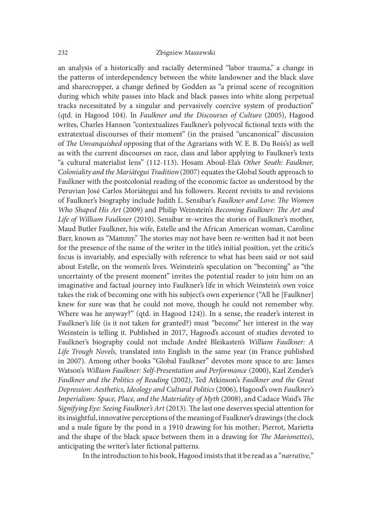an analysis of a historically and racially determined "labor trauma," a change in the patterns of interdependency between the white landowner and the black slave and sharecropper, a change defined by Godden as "a primal scene of recognition during which white passes into black and black passes into white along perpetual tracks necessitated by a singular and pervasively coercive system of production" (qtd. in Hagood 104). In Faulkner and the Discourses of Culture (2005), Hagood writes, Charles Hannon "contextualizes Faulkner's polyvocal fictional texts with the extratextual discourses of their moment" (in the praised "uncanonical" discussion of The Unvanquished opposing that of the Agrarians with W. E. B. Du Bois's) as well as with the current discourses on race, class and labor applying to Faulkner's texts "a cultural materialist lens" (112-113). Hosam Aboul-Ela's Other South: Faulkner, Coloniality and the Mariátegui Tradition (2007) equates the Global South approach to Faulkner with the postcolonial reading of the economic factor as understood by the Peruvian José Carlos Moriátegui and his followers. Recent revisits to and revisions of Faulkner's biography include Judith L. Sensibar's Faulkner and Love: The Women Who Shaped His Art (2009) and Philip Weinstein's Becoming Faulkner: The Art and Life of William Faulkner (2010). Sensibar re-writes the stories of Faulkner's mother, Maud Butler Faulkner, his wife, Estelle and the African American woman, Caroline Barr, known as "Mammy." The stories may not have been re-written had it not been for the presence of the name of the writer in the title's initial position, yet the critic's focus is invariably, and especially with reference to what has been said or not said about Estelle, on the women's lives. Weinstein's speculation on "becoming" as "the uncertainty of the present moment" invites the potential reader to join him on an imaginative and factual journey into Faulkner's life in which Weinstein's own voice takes the risk of becoming one with his subject's own experience ("All he [Faulkner] knew for sure was that he could not move, though he could not remember why. Where was he anyway?" (qtd. in Hagood 124)). In a sense, the reader's interest in Faulkner's life (is it not taken for granted?) must "become" her interest in the way Weinstein is telling it. Published in 2017, Hagood's account of studies devoted to Faulkner's biography could not include André Bleikasten's William Faulkner: A Life Trough Novels, translated into English in the same year (in France published in 2007). Among other books "Global Faulkner" devotes more space to are: James Watson's William Faulkner: Self-Presentation and Performance (2000), Karl Zender's Faulkner and the Politics of Reading (2002), Ted Atkinson's Faulkner and the Great Depression: Aesthetics, Ideology and Cultural Politics (2006), Hagood's own Faulkner's Imperialism: Space, Place, and the Materiality of Myth (2008), and Cadace Waid's The Signifying Eye: Seeing Faulkner's Art (2013). The last one deserves special attention for its insightful, innovative perceptions of the meaning of Faulkner's drawings (the clock and a male figure by the pond in a 1910 drawing for his mother; Pierrot, Marietta and the shape of the black space between them in a drawing for The Marionettes), anticipating the writer's later fictional patterns.

In the introduction to his book, Hagood insists that it be read as a "narrative,"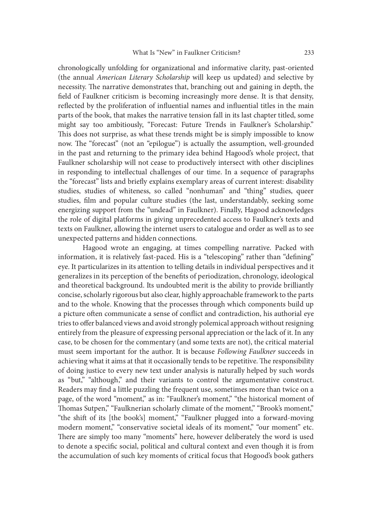chronologically unfolding for organizational and informative clarity, past-oriented (the annual American Literary Scholarship will keep us updated) and selective by necessity. The narrative demonstrates that, branching out and gaining in depth, the field of Faulkner criticism is becoming increasingly more dense. It is that density, reflected by the proliferation of influential names and influential titles in the main parts of the book, that makes the narrative tension fall in its last chapter titled, some might say too ambitiously, "Forecast: Future Trends in Faulkner's Scholarship." This does not surprise, as what these trends might be is simply impossible to know now. The "forecast" (not an "epilogue") is actually the assumption, well-grounded in the past and returning to the primary idea behind Hagood's whole project, that Faulkner scholarship will not cease to productively intersect with other disciplines in responding to intellectual challenges of our time. In a sequence of paragraphs the "forecast" lists and brie{y explains exemplary areas of current interest: disability studies, studies of whiteness, so called "nonhuman" and "thing" studies, queer studies, film and popular culture studies (the last, understandably, seeking some energizing support from the "undead" in Faulkner). Finally, Hagood acknowledges the role of digital platforms in giving unprecedented access to Faulkner's texts and texts on Faulkner, allowing the internet users to catalogue and order as well as to see unexpected patterns and hidden connections.

Hagood wrote an engaging, at times compelling narrative. Packed with information, it is relatively fast-paced. His is a "telescoping" rather than "defining" eye. It particularizes in its attention to telling details in individual perspectives and it generalizes in its perception of the benefits of periodization, chronology, ideological and theoretical background. Its undoubted merit is the ability to provide brilliantly concise, scholarly rigorous but also clear, highly approachable framework to the parts and to the whole. Knowing that the processes through which components build up a picture often communicate a sense of conflict and contradiction, his authorial eye tries to offer balanced views and avoid strongly polemical approach without resigning entirely from the pleasure of expressing personal appreciation or the lack of it. In any case, to be chosen for the commentary (and some texts are not), the critical material must seem important for the author. It is because Following Faulkner succeeds in achieving what it aims at that it occasionally tends to be repetitive. The responsibility of doing justice to every new text under analysis is naturally helped by such words as "but," "although," and their variants to control the argumentative construct. Readers may find a little puzzling the frequent use, sometimes more than twice on a page, of the word "moment," as in: "Faulkner's moment," "the historical moment of Thomas Sutpen," "Faulknerian scholarly climate of the moment," "Brook's moment," "the shit of its [the book's] moment," "Faulkner plugged into a forward-moving modern moment," "conservative societal ideals of its moment," "our moment" etc. There are simply too many "moments" here, however deliberately the word is used to denote a specific social, political and cultural context and even though it is from the accumulation of such key moments of critical focus that Hogood's book gathers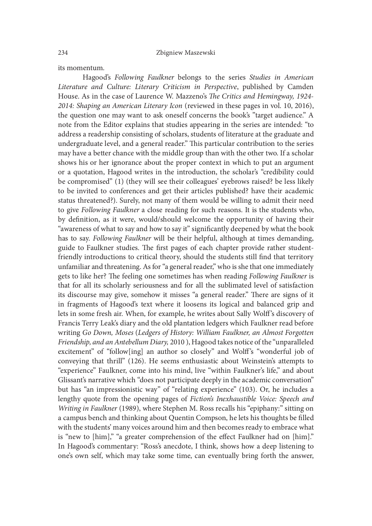its momentum.

Hagood's Following Faulkner belongs to the series Studies in American Literature and Culture: Literary Criticism in Perspective, published by Camden House. As in the case of Laurence W. Mazzeno's The Critics and Hemingway, 1924-2014: Shaping an American Literary Icon (reviewed in these pages in vol. 10, 2016), the question one may want to ask oneself concerns the book's "target audience." A note from the Editor explains that studies appearing in the series are intended: "to address a readership consisting of scholars, students of literature at the graduate and undergraduate level, and a general reader." This particular contribution to the series may have a better chance with the middle group than with the other two. If a scholar shows his or her ignorance about the proper context in which to put an argument or a quotation, Hagood writes in the introduction, the scholar's "credibility could be compromised" (1) (they will see their colleagues' eyebrows raised? be less likely to be invited to conferences and get their articles published? have their academic status threatened?). Surely, not many of them would be willing to admit their need to give Following Faulkner a close reading for such reasons. It is the students who, by definition, as it were, would/should welcome the opportunity of having their "awareness of what to say and how to say it" significantly deepened by what the book has to say. Following Faulkner will be their helpful, although at times demanding, guide to Faulkner studies. The first pages of each chapter provide rather studentfriendly introductions to critical theory, should the students still find that territory unfamiliar and threatening. As for "a general reader," who is she that one immediately gets to like her? The feeling one sometimes has when reading Following Faulkner is that for all its scholarly seriousness and for all the sublimated level of satisfaction its discourse may give, somehow it misses "a general reader." There are signs of it in fragments of Hagood's text where it loosens its logical and balanced grip and lets in some fresh air. When, for example, he writes about Sally Wolff's discovery of Francis Terry Leak's diary and the old plantation ledgers which Faulkner read before writing Go Down, Moses (Ledgers of History: William Faulkner, an Almost Forgotten Friendship, and an Antebellum Diary, 2010 ), Hagood takes notice of the "unparalleled excitement" of "follow[ing] an author so closely" and Wolff's "wonderful job of conveying that thrill" (126). He seems enthusiastic about Weinstein's attempts to "experience" Faulkner, come into his mind, live "within Faulkner's life," and about Glissant's narrative which "does not participate deeply in the academic conversation" but has "an impressionistic way" of "relating experience" (103). Or, he includes a lengthy quote from the opening pages of Fiction's Inexhaustible Voice: Speech and Writing in Faulkner (1989), where Stephen M. Ross recalls his "epiphany:" sitting on a campus bench and thinking about Quentin Compson, he lets his thoughts be filled with the students' many voices around him and then becomes ready to embrace what is "new to [him]," "a greater comprehension of the effect Faulkner had on [him]." In Hagood's commentary: "Ross's anecdote, I think, shows how a deep listening to one's own self, which may take some time, can eventually bring forth the answer,